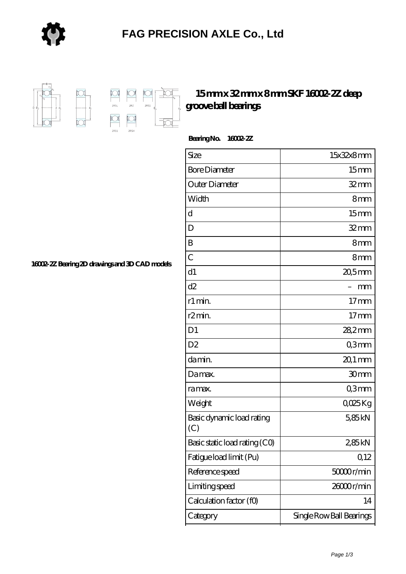

## **[FAG PRECISION AXLE Co., Ltd](https://ggkbs.com)**



 $\frac{1}{\sqrt{2}}$  $rac{1}{2RZ}$ 2RS1  $\Box$ 

 $\mathbb{C}$ 

 $\overline{\mathbb{R}}$ 

## **[15 mm x 32 mm x 8 mm SKF 16002-2Z deep](https://ggkbs.com/motioncontrolsystems.hiwin.com-75675-skf-16002-2z-deep-groove-ball-bearings.html) [groove ball bearings](https://ggkbs.com/motioncontrolsystems.hiwin.com-75675-skf-16002-2z-deep-groove-ball-bearings.html)**

 **Bearing No. 16002-2Z**

| Size                             | 15x32x8mm                |
|----------------------------------|--------------------------|
| <b>Bore Diameter</b>             | 15 <sub>mm</sub>         |
| Outer Diameter                   | $32$ mm                  |
| Width                            | 8mm                      |
| d                                | 15 <sub>mm</sub>         |
| D                                | $32$ mm                  |
| B                                | 8mm                      |
| $\overline{C}$                   | 8mm                      |
| d1                               | $20,5$ mm                |
| d2                               | mm                       |
| r1 min.                          | $17 \text{mm}$           |
| r2min.                           | 17 <sub>mm</sub>         |
| D <sub>1</sub>                   | 28,2mm                   |
| D <sub>2</sub>                   | Q3mm                     |
| damin.                           | 20,1 mm                  |
| Damax.                           | 30mm                     |
| ra max.                          | Q3mm                     |
| Weight                           | QO25Kg                   |
| Basic dynamic load rating<br>(C) | 5,85kN                   |
| Basic static load rating (CO)    | 285kN                    |
| Fatigue load limit (Pu)          | 0,12                     |
| Reference speed                  | 50000r/min               |
| Limiting speed                   | 26000r/min               |
| Calculation factor (f0)          | 14                       |
| Category                         | Single Row Ball Bearings |

**[16002-2Z Bearing 2D drawings and 3D CAD models](https://ggkbs.com/pic-75675.html)**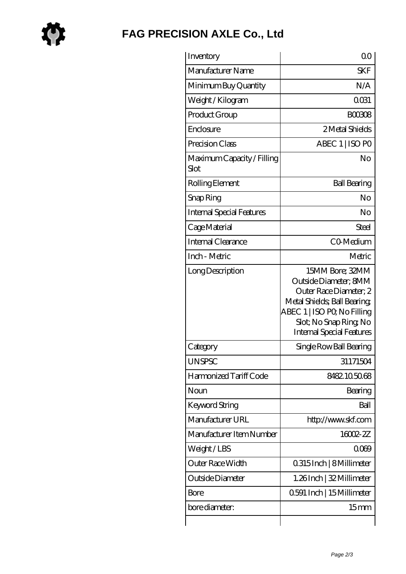

## **[FAG PRECISION AXLE Co., Ltd](https://ggkbs.com)**

| Inventory                          | 0 <sup>0</sup>                                                                                                                                                                                |
|------------------------------------|-----------------------------------------------------------------------------------------------------------------------------------------------------------------------------------------------|
| Manufacturer Name                  | <b>SKF</b>                                                                                                                                                                                    |
| Minimum Buy Quantity               | N/A                                                                                                                                                                                           |
| Weight / Kilogram                  | 0031                                                                                                                                                                                          |
| Product Group                      | <b>BOO308</b>                                                                                                                                                                                 |
| Enclosure                          | 2 Metal Shields                                                                                                                                                                               |
| Precision Class                    | ABEC 1   ISO PO                                                                                                                                                                               |
| Maximum Capacity / Filling<br>Slot | No                                                                                                                                                                                            |
| Rolling Element                    | <b>Ball Bearing</b>                                                                                                                                                                           |
| Snap Ring                          | No                                                                                                                                                                                            |
| Internal Special Features          | No                                                                                                                                                                                            |
| Cage Material                      | Steel                                                                                                                                                                                         |
| Internal Clearance                 | CO-Medium                                                                                                                                                                                     |
| Inch - Metric                      | Metric                                                                                                                                                                                        |
| Long Description                   | 15MM Bore; 32MM<br>Outside Diameter; 8MM<br>Outer Race Diameter; 2<br>Metal Shields; Ball Bearing;<br>ABEC 1   ISO PQ No Filling<br>Slot; No Snap Ring No<br><b>Internal Special Features</b> |
| Category                           | Single Row Ball Bearing                                                                                                                                                                       |
| <b>UNSPSC</b>                      | 31171504                                                                                                                                                                                      |
| Harmonized Tariff Code             | 8482105068                                                                                                                                                                                    |
| Noun                               | Bearing                                                                                                                                                                                       |
| Keyword String                     | Ball                                                                                                                                                                                          |
| Manufacturer URL                   | http://www.skf.com                                                                                                                                                                            |
| Manufacturer Item Number           | $1600 - 2Z$                                                                                                                                                                                   |
| Weight/LBS                         | 0009                                                                                                                                                                                          |
| Outer Race Width                   | 0.315 Inch   8 Millimeter                                                                                                                                                                     |
| Outside Diameter                   | 1.26Inch   32 Millimeter                                                                                                                                                                      |
| Bore                               | 0.591 Inch   15 Millimeter                                                                                                                                                                    |
| bore diameter:                     | 15 <sub>mm</sub>                                                                                                                                                                              |
|                                    |                                                                                                                                                                                               |